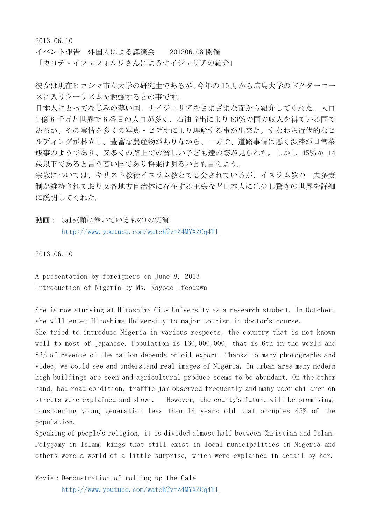2013.06.10

イベント報告 外国人による講演会 201306.08 開催

「カヨデ・イフェフォルワさんによるナイジェリアの紹介」

彼女は現在ヒロシマ市立大学の研究生であるが、今年の 10 月から広島大学のドクターコー スに入りツーリズムを勉強するとの事です。

日本人にとってなじみの薄い国、ナイジェリアをさまざまな面から紹介してくれた。人口 1 億 6 千万と世界で 6 番目の人口が多く、石油輸出により 83%の国の収入を得ている国で あるが、その実情を多くの写真・ビデオにより理解する事が出来た。すなわち近代的なビ ルディングが林立し、豊富な農産物がありながら、一方で、道路事情は悪く渋滞が日常茶 飯事のようであり、又多くの路上での貧しい子ども達の姿が見られた。しかし 45%が 14 歳以下であると言う若い国であり将来は明るいとも言えよう。

宗教については、キリスト教徒イスラム教とで2分されているが、イスラム教の一夫多妻 制が維持されており又各地方自治体に存在する王様など日本人には少し驚きの世界を詳細 に説明してくれた。

動画: Gale(頭に巻いているもの)の実演 <http://www.youtube.com/watch?v=Z4MYXZCq4TI>

2013.06.10

A presentation by foreigners on June 8, 2013 Introduction of Nigeria by Ms. Kayode Ifeoduwa

She is now studying at Hiroshima City University as a research student. In October, she will enter Hiroshima University to major tourism in doctor's course.

She tried to introduce Nigeria in various respects, the country that is not known well to most of Japanese. Population is 160,000,000, that is 6th in the world and 83% of revenue of the nation depends on oil export. Thanks to many photographs and video, we could see and understand real images of Nigeria. In urban area many modern high buildings are seen and agricultural produce seems to be abundant. On the other hand, bad road condition, traffic jam observed frequently and many poor children on streets were explained and shown. However, the county's future will be promising, considering young generation less than 14 years old that occupies 45% of the population.

Speaking of people's religion, it is divided almost half between Christian and Islam. Polygamy in Islam, kings that still exist in local municipalities in Nigeria and others were a world of a little surprise, which were explained in detail by her.

Movie:Demonstration of rolling up the Gale <http://www.youtube.com/watch?v=Z4MYXZCq4TI>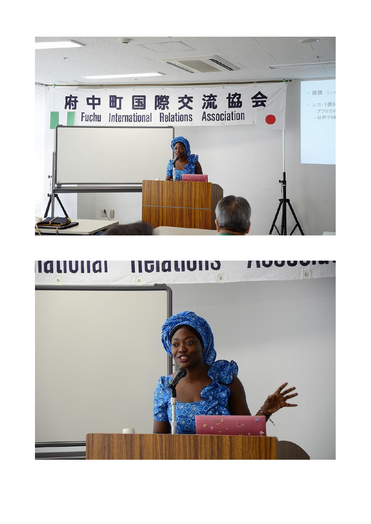